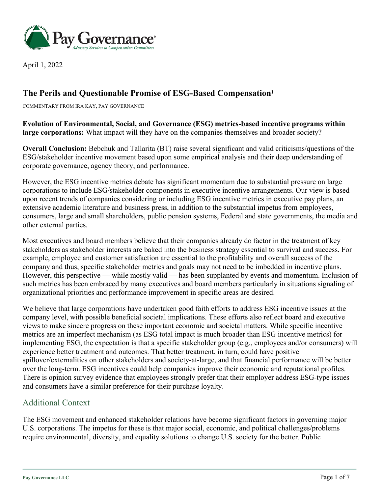

April 1, 2022

## **The Perils and Questionable Promise of ESG-Based Compensation1**

COMMENTARY FROM IRA KAY, PAY GOVERNANCE

**Evolution of Environmental, Social, and Governance (ESG) metrics-based incentive programs within large corporations:** What impact will they have on the companies themselves and broader society?

**Overall Conclusion:** Bebchuk and Tallarita (BT) raise several significant and valid criticisms/questions of the ESG/stakeholder incentive movement based upon some empirical analysis and their deep understanding of corporate governance, agency theory, and performance.

However, the ESG incentive metrics debate has significant momentum due to substantial pressure on large corporations to include ESG/stakeholder components in executive incentive arrangements. Our view is based upon recent trends of companies considering or including ESG incentive metrics in executive pay plans, an extensive academic literature and business press, in addition to the substantial impetus from employees, consumers, large and small shareholders, public pension systems, Federal and state governments, the media and other external parties.

Most executives and board members believe that their companies already do factor in the treatment of key stakeholders as stakeholder interests are baked into the business strategy essential to survival and success. For example, employee and customer satisfaction are essential to the profitability and overall success of the company and thus, specific stakeholder metrics and goals may not need to be imbedded in incentive plans. However, this perspective — while mostly valid — has been supplanted by events and momentum. Inclusion of such metrics has been embraced by many executives and board members particularly in situations signaling of organizational priorities and performance improvement in specific areas are desired.

We believe that large corporations have undertaken good faith efforts to address ESG incentive issues at the company level, with possible beneficial societal implications. These efforts also reflect board and executive views to make sincere progress on these important economic and societal matters. While specific incentive metrics are an imperfect mechanism (as ESG total impact is much broader than ESG incentive metrics) for implementing ESG, the expectation is that a specific stakeholder group (e.g., employees and/or consumers) will experience better treatment and outcomes. That better treatment, in turn, could have positive spillover/externalities on other stakeholders and society-at-large, and that financial performance will be better over the long-term. ESG incentives could help companies improve their economic and reputational profiles. There is opinion survey evidence that employees strongly prefer that their employer address ESG-type issues and consumers have a similar preference for their purchase loyalty.

### Additional Context

The ESG movement and enhanced stakeholder relations have become significant factors in governing major U.S. corporations. The impetus for these is that major social, economic, and political challenges/problems require environmental, diversity, and equality solutions to change U.S. society for the better. Public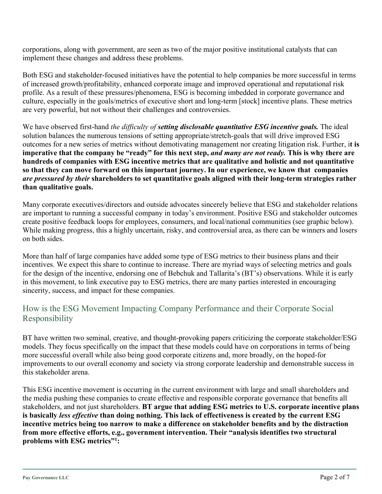corporations, along with government, are seen as two of the major positive institutional catalysts that can implement these changes and address these problems.

Both ESG and stakeholder-focused initiatives have the potential to help companies be more successful in terms of increased growth/profitability, enhanced corporate image and improved operational and reputational risk profile. As a result of these pressures/phenomena, ESG is becoming imbedded in corporate governance and culture, especially in the goals/metrics of executive short and long-term [stock] incentive plans. These metrics are very powerful, but not without their challenges and controversies.

We have observed first-hand *the difficulty of setting disclosable quantitative ESG incentive goals.* The ideal solution balances the numerous tensions of setting appropriate/stretch-goals that will drive improved ESG outcomes for a new series of metrics without demotivating management nor creating litigation risk. Further, i**t is imperative that the company be "ready" for this next step,** *and many are not ready.* **This is why there are hundreds of companies with ESG incentive metrics that are qualitative and holistic and not quantitative so that they can move forward on this important journey. In our experience, we know that companies**  *are pressured by their* **shareholders to set quantitative goals aligned with their long-term strategies rather than qualitative goals.**

Many corporate executives/directors and outside advocates sincerely believe that ESG and stakeholder relations are important to running a successful company in today's environment. Positive ESG and stakeholder outcomes create positive feedback loops for employees, consumers, and local/national communities (see graphic below). While making progress, this a highly uncertain, risky, and controversial area, as there can be winners and losers on both sides.

More than half of large companies have added some type of ESG metrics to their business plans and their incentives. We expect this share to continue to increase. There are myriad ways of selecting metrics and goals for the design of the incentive, endorsing one of Bebchuk and Tallarita's (BT's) observations. While it is early in this movement, to link executive pay to ESG metrics, there are many parties interested in encouraging sincerity, success, and impact for these companies.

## How is the ESG Movement Impacting Company Performance and their Corporate Social Responsibility

BT have written two seminal, creative, and thought-provoking papers criticizing the corporate stakeholder/ESG models. They focus specifically on the impact that these models could have on corporations in terms of being more successful overall while also being good corporate citizens and, more broadly, on the hoped-for improvements to our overall economy and society via strong corporate leadership and demonstrable success in this stakeholder arena.

This ESG incentive movement is occurring in the current environment with large and small shareholders and the media pushing these companies to create effective and responsible corporate governance that benefits all stakeholders, and not just shareholders. **BT argue that adding ESG metrics to U.S. corporate incentive plans is basically** *less effective* **than doing nothing. This lack of effectiveness is created by the current ESG incentive metrics being too narrow to make a difference on stakeholder benefits and by the distraction from more effective efforts, e.g., government intervention. Their "analysis identifies two structural problems with ESG metrics"1 :**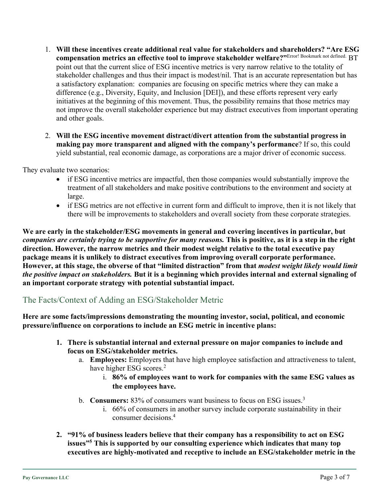- 1. **Will these incentives create additional real value for stakeholders and shareholders? "Are ESG compensation metrics an effective tool to improve stakeholder welfare?"**Error! Bookmark not defined. BT point out that the current slice of ESG incentive metrics is very narrow relative to the totality of stakeholder challenges and thus their impact is modest/nil. That is an accurate representation but has a satisfactory explanation: companies are focusing on specific metrics where they can make a difference (e.g., Diversity, Equity, and Inclusion [DEI]), and these efforts represent very early initiatives at the beginning of this movement. Thus, the possibility remains that those metrics may not improve the overall stakeholder experience but may distract executives from important operating and other goals.
- 2. **Will the ESG incentive movement distract/divert attention from the substantial progress in making pay more transparent and aligned with the company's performance**? If so, this could yield substantial, real economic damage, as corporations are a major driver of economic success.

They evaluate two scenarios:

- if ESG incentive metrics are impactful, then those companies would substantially improve the treatment of all stakeholders and make positive contributions to the environment and society at large.
- if ESG metrics are not effective in current form and difficult to improve, then it is not likely that there will be improvements to stakeholders and overall society from these corporate strategies.

**We are early in the stakeholder/ESG movements in general and covering incentives in particular, but**  *companies are certainly trying to be supportive for many reasons.* **This is positive, as it is a step in the right direction. However, the narrow metrics and their modest weight relative to the total executive pay package means it is unlikely to distract executives from improving overall corporate performance. However, at this stage, the obverse of that "limited distraction" from that** *modest weight likely would limit the positive impact on stakeholders.* **But it is a beginning which provides internal and external signaling of an important corporate strategy with potential substantial impact.**

### The Facts/Context of Adding an ESG/Stakeholder Metric

**Here are some facts/impressions demonstrating the mounting investor, social, political, and economic pressure/influence on corporations to include an ESG metric in incentive plans:**

- **1. There is substantial internal and external pressure on major companies to include and focus on ESG/stakeholder metrics.** 
	- a. **Employees:** Employers that have high employee satisfaction and attractiveness to talent, have higher ESG scores.<sup>2</sup>
		- i. **86% of employees want to work for companies with the same ESG values as the employees have.**
	- b. **Consumers:** 83% of consumers want business to focus on ESG issues. 3
		- i. 66% of consumers in another survey include corporate sustainability in their consumer decisions. 4
- **2. "91% of business leaders believe that their company has a responsibility to act on ESG issues"5 This is supported by our consulting experience which indicates that many top executives are highly-motivated and receptive to include an ESG/stakeholder metric in the**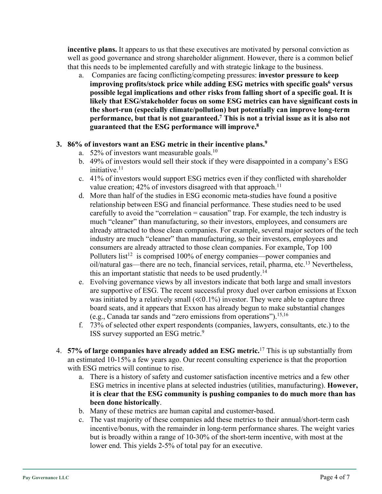**incentive plans.** It appears to us that these executives are motivated by personal conviction as well as good governance and strong shareholder alignment. However, there is a common belief that this needs to be implemented carefully and with strategic linkage to the business.

a. Companies are facing conflicting/competing pressures: **investor pressure to keep improving profits/stock price while adding ESG metrics with specific goals<sup>6</sup> versus possible legal implications and other risks from falling short of a specific goal. It is likely that ESG/stakeholder focus on some ESG metrics can have significant costs in the short-run (especially climate/pollution) but potentially can improve long-term performance, but that is not guaranteed.7 This is not a trivial issue as it is also not guaranteed that the ESG performance will improve.8**

#### **3. 86% of investors want an ESG metric in their incentive plans. 9**

- a. 52% of investors want measurable goals.<sup>10</sup>
- b. 49% of investors would sell their stock if they were disappointed in a company's ESG initiative. 11
- c. 41% of investors would support ESG metrics even if they conflicted with shareholder value creation;  $42\%$  of investors disagreed with that approach.<sup>11</sup>
- d. More than half of the studies in ESG economic meta-studies have found a positive relationship between ESG and financial performance. These studies need to be used carefully to avoid the "correlation = causation" trap. For example, the tech industry is much "cleaner" than manufacturing, so their investors, employees, and consumers are already attracted to those clean companies. For example, several major sectors of the tech industry are much "cleaner" than manufacturing, so their investors, employees and consumers are already attracted to those clean companies. For example, Top 100 Polluters list<sup>12</sup> is comprised 100% of energy companies—power companies and oil/natural gas—there are no tech, financial services, retail, pharma, etc.13 Nevertheless, this an important statistic that needs to be used prudently.<sup>14</sup>
- e. Evolving governance views by all investors indicate that both large and small investors are supportive of ESG. The recent successful proxy duel over carbon emissions at Exxon was initiated by a relatively small  $(\ll 0.1\%)$  investor. They were able to capture three board seats, and it appears that Exxon has already begun to make substantial changes (e.g., Canada tar sands and "zero emissions from operations").<sup>15,16</sup>
- f. 73% of selected other expert respondents (companies, lawyers, consultants, etc.) to the ISS survey supported an ESG metric.<sup>9</sup>
- 4. **57% of large companies have already added an ESG metric.** <sup>17</sup> This is up substantially from an estimated 10-15% a few years ago. Our recent consulting experience is that the proportion with ESG metrics will continue to rise.
	- a. There is a history of safety and customer satisfaction incentive metrics and a few other ESG metrics in incentive plans at selected industries (utilities, manufacturing). **However, it is clear that the ESG community is pushing companies to do much more than has been done historically**.
	- b. Many of these metrics are human capital and customer-based.
	- c. The vast majority of these companies add these metrics to their annual/short-term cash incentive/bonus, with the remainder in long-term performance shares. The weight varies but is broadly within a range of 10-30% of the short-term incentive, with most at the lower end. This yields 2-5% of total pay for an executive.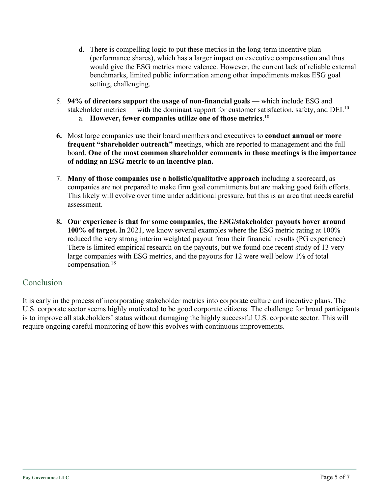- d. There is compelling logic to put these metrics in the long-term incentive plan (performance shares), which has a larger impact on executive compensation and thus would give the ESG metrics more valence. However, the current lack of reliable external benchmarks, limited public information among other impediments makes ESG goal setting, challenging.
- 5. **94% of directors support the usage of non-financial goals** which include ESG and stakeholder metrics — with the dominant support for customer satisfaction, safety, and DEI.<sup>10</sup>
	- a. **However, fewer companies utilize one of those metrics**. 10
- **6.** Most large companies use their board members and executives to **conduct annual or more frequent "shareholder outreach"** meetings, which are reported to management and the full board. **One of the most common shareholder comments in those meetings is the importance of adding an ESG metric to an incentive plan.**
- 7. **Many of those companies use a holistic/qualitative approach** including a scorecard, as companies are not prepared to make firm goal commitments but are making good faith efforts. This likely will evolve over time under additional pressure, but this is an area that needs careful assessment.
- **8. Our experience is that for some companies, the ESG/stakeholder payouts hover around 100% of target.** In 2021, we know several examples where the ESG metric rating at 100% reduced the very strong interim weighted payout from their financial results (PG experience) There is limited empirical research on the payouts, but we found one recent study of 13 very large companies with ESG metrics, and the payouts for 12 were well below 1% of total compensation.18

#### Conclusion

It is early in the process of incorporating stakeholder metrics into corporate culture and incentive plans. The U.S. corporate sector seems highly motivated to be good corporate citizens. The challenge for broad participants is to improve all stakeholders' status without damaging the highly successful U.S. corporate sector. This will require ongoing careful monitoring of how this evolves with continuous improvements.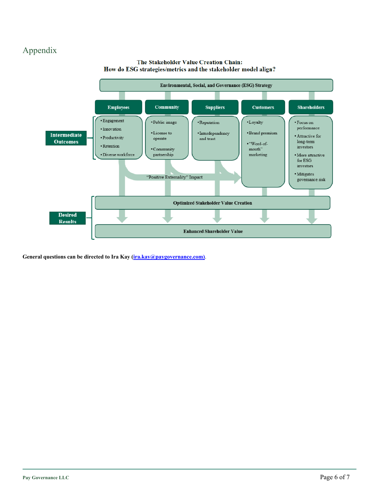# Appendix





**General questions can be directed to Ira Kay (ira.kay@paygovernance.com)**.